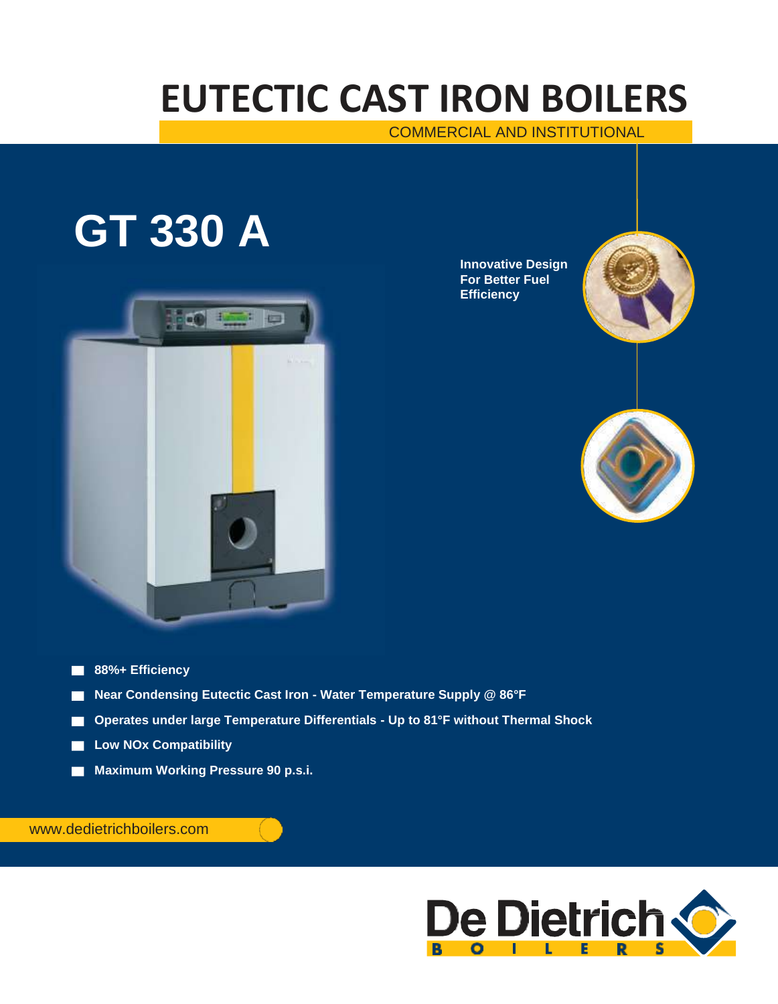# **EUTECTIC CAST IRON BOILERS**

COMMERCIAL AND INSTITUTIONAL

# **GT 330 A**



**Innovative Design For Better Fuel Efficiency**



- **88%+ Efficiency**
- **Near Condensing Eutectic Cast Iron - Water Temperature Supply @ 86°F**
- **Operates under large Temperature Differentials - Up to 81°F without Thermal Shock**
- **Low NOx Compatibility** m
- **Maximum Working Pressure 90 p.s.i.**  $\Box$  .

[www.dedietrichboilers.com](http://www.dedietrichboilers.com/)

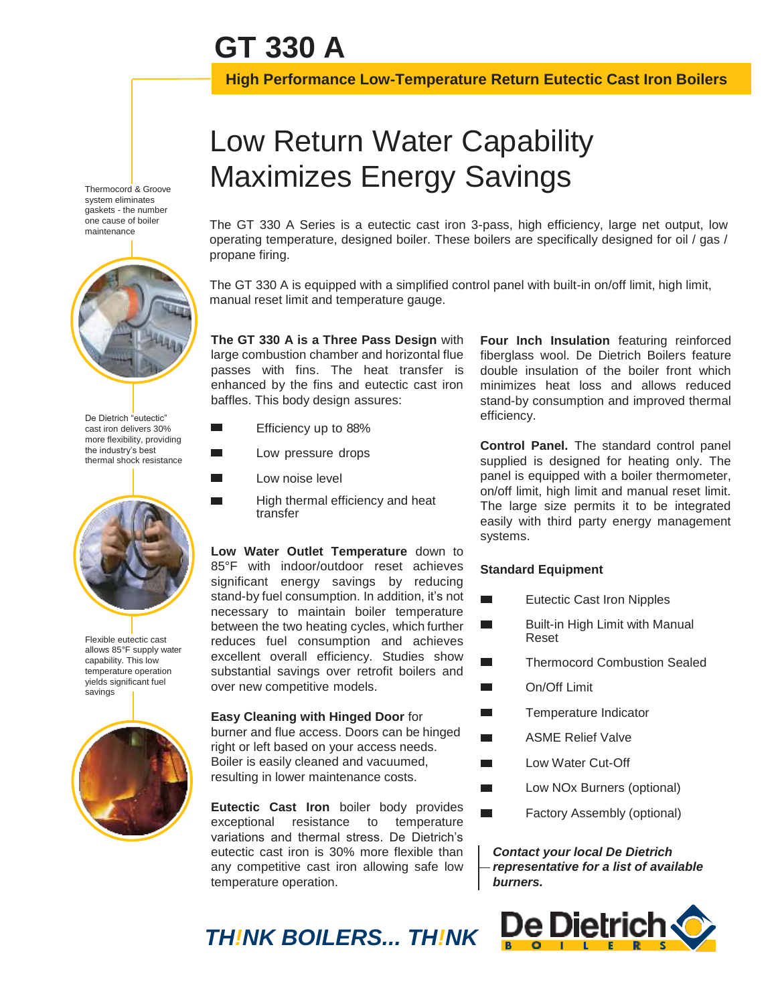# **GT 330 A**

**High Performance Low-Temperature Return Eutectic Cast Iron Boilers**

Thermocord & Groove system eliminates gaskets - the number one cause of boiler maintenance



De Dietrich "eutectic" cast iron delivers 30% more flexibility, providing the industry's best thermal shock resistance



Flexible eutectic cast allows 85°F supply water capability. This low temperature operation yields significant fuel savings



## Low Return Water Capability Maximizes Energy Savings

The GT 330 A Series is a eutectic cast iron 3-pass, high efficiency, large net output, low operating temperature, designed boiler. These boilers are specifically designed for oil / gas / propane firing.

The GT 330 A is equipped with a simplified control panel with built-in on/off limit, high limit, manual reset limit and temperature gauge.

**The GT 330 A is a Three Pass Design** with large combustion chamber and horizontal flue passes with fins. The heat transfer is enhanced by the fins and eutectic cast iron baffles. This body design assures:

- Efficiency up to 88%
- Low pressure drops
- Low noise level
- High thermal efficiency and heat transfer

**Low Water Outlet Temperature** down to 85°F with indoor/outdoor reset achieves significant energy savings by reducing stand-by fuel consumption. In addition, it's not necessary to maintain boiler temperature between the two heating cycles, which further reduces fuel consumption and achieves excellent overall efficiency. Studies show substantial savings over retrofit boilers and over new competitive models.

**Easy Cleaning with Hinged Door** for burner and flue access. Doors can be hinged right or left based on your access needs. Boiler is easily cleaned and vacuumed, resulting in lower maintenance costs.

**Eutectic Cast Iron** boiler body provides exceptional resistance to temperature variations and thermal stress. De Dietrich's eutectic cast iron is 30% more flexible than any competitive cast iron allowing safe low temperature operation.

**Four Inch Insulation** featuring reinforced fiberglass wool. De Dietrich Boilers feature double insulation of the boiler front which minimizes heat loss and allows reduced stand-by consumption and improved thermal efficiency.

**Control Panel.** The standard control panel supplied is designed for heating only. The panel is equipped with a boiler thermometer, on/off limit, high limit and manual reset limit. The large size permits it to be integrated easily with third party energy management systems.

#### **Standard Equipment**

- $\overline{\phantom{a}}$ Eutectic Cast Iron Nipples
- $\overline{\phantom{a}}$ Built-in High Limit with Manual Reset
	- Thermocord Combustion Sealed
	- On/Off Limit
- Temperature Indicator
- ASME Relief Valve
- Low Water Cut-Off
- Low NOx Burners (optional)
- Factory Assembly (optional)

#### *Contact your local De Dietrich*

*representative for a list of available burners.*



*TH!NK BOILERS... TH!NK*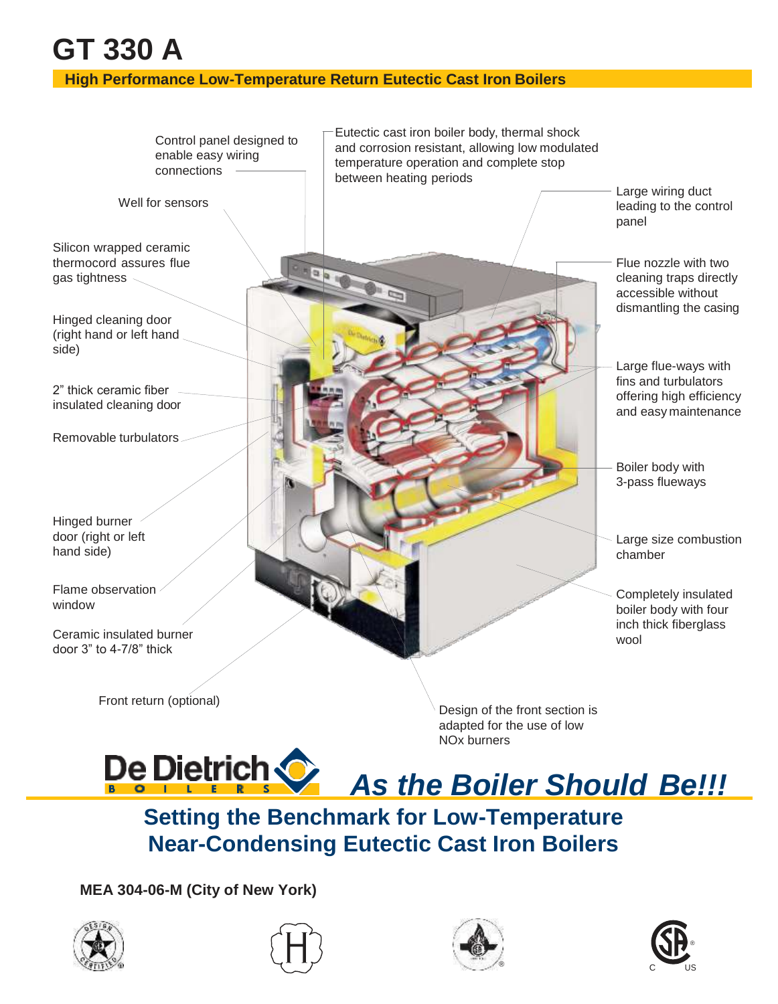## **GT 330 A**

#### **High Performance Low-Temperature Return Eutectic Cast Iron Boilers**



### **Setting the Benchmark for Low-Temperature Near-Condensing Eutectic Cast Iron Boilers**

**MEA 304-06-M (City of New York)**